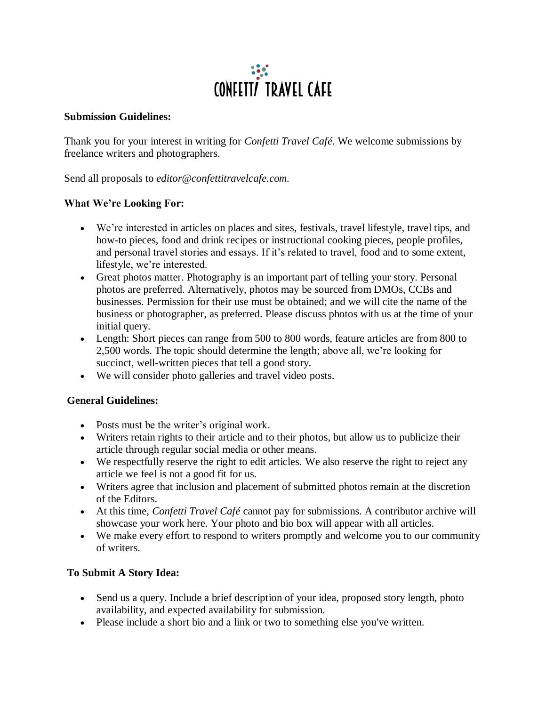# $\mathbf{C}$ **CONFETT/ TRAVEL CAFE**

#### **Submission Guidelines:**

Thank you for your interest in writing for *Confetti Travel Café*. We welcome submissions by freelance writers and photographers.

Send all proposals to *editor@confettitravelcafe.com.*

## **What We're Looking For:**

- We're interested in articles on places and sites, festivals, travel lifestyle, travel tips, and how-to pieces, food and drink recipes or instructional cooking pieces, people profiles, and personal travel stories and essays. If it's related to travel, food and to some extent, lifestyle, we're interested.
- Great photos matter. Photography is an important part of telling your story. Personal photos are preferred. Alternatively, photos may be sourced from DMOs, CCBs and businesses. Permission for their use must be obtained; and we will cite the name of the business or photographer, as preferred. Please discuss photos with us at the time of your initial query.
- Length: Short pieces can range from 500 to 800 words, feature articles are from 800 to 2,500 words. The topic should determine the length; above all, we're looking for succinct, well-written pieces that tell a good story.
- We will consider photo galleries and travel video posts.

## **General Guidelines:**

- Posts must be the writer's original work.
- Writers retain rights to their article and to their photos, but allow us to publicize their article through regular social media or other means.
- We respectfully reserve the right to edit articles. We also reserve the right to reject any article we feel is not a good fit for us.
- Writers agree that inclusion and placement of submitted photos remain at the discretion of the Editors.
- At this time, *Confetti Travel Café* cannot pay for submissions. A contributor archive will showcase your work here. Your photo and bio box will appear with all articles.
- We make every effort to respond to writers promptly and welcome you to our community of writers.

## **To Submit A Story Idea:**

- Send us a query. Include a brief description of your idea, proposed story length, photo availability, and expected availability for submission.
- Please include a short bio and a link or two to something else you've written.